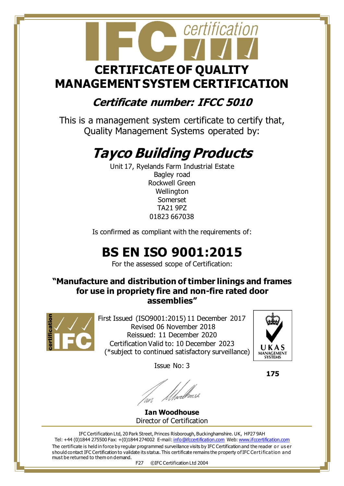# certification  **CERTIFICATE OF QUALITY MANAGEMENT SYSTEM CERTIFICATION**

#### **Certificate number: IFCC 5010**

This is a management system certificate to certify that, Quality Management Systems operated by:

# **Tayco Building Products**

Unit 17, Ryelands Farm Industrial Estate Bagley road Rockwell Green **Wellington** Somerset TA21 9PZ 01823 667038

Is confirmed as compliant with the requirements of:

### **BS EN ISO 9001:2015**

For the assessed scope of Certification:

#### **"Manufacture and distribution of timber linings and frames for use in propriety fire and non-fire rated door assemblies"**



First Issued (ISO9001:2015) 11 December 2017 Revised 06 November 2018 Reissued: 11 December 2020 Certification Valid to: 10 December 2023 (\*subject to continued satisfactory surveillance)

Issue No: 3

**Ian Woodhouse** Director of Certification

The certificate is held in force by regular programmed surveillance visits by IFC Certification and the reader o r us er should contact IFC Certification to validate its status. This certificate remains the property of IFC Certification and must be returned to them on demand. IFC Certification Ltd, 20 Park Street, Princes Risborough, Buckinghamshire. UK, HP27 9AH Tel: +44 (0)1844 275500 Fax: +(0)1844 274002 E-mail[: info@ifccertification.com](mailto:info@ifccertification.com) Web[: www.ifccertification.com](http://www.ifccertification.com/)

UKAS MANAGEMENT

 **175**

F27 ©IFC Certification Ltd 2004